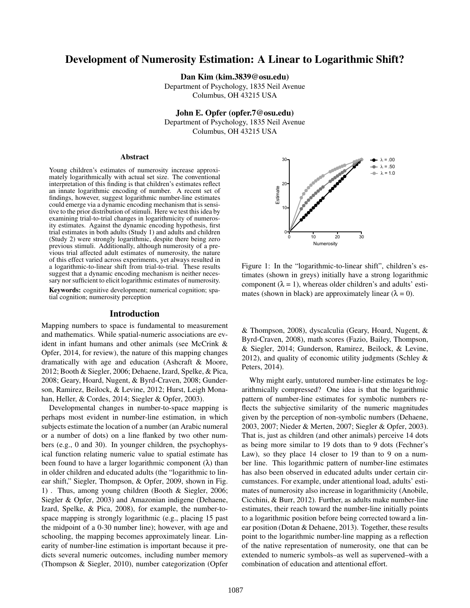# Development of Numerosity Estimation: A Linear to Logarithmic Shift?

Dan Kim (kim.3839@osu.edu)

Department of Psychology, 1835 Neil Avenue Columbus, OH 43215 USA

John E. Opfer (opfer.7@osu.edu) Department of Psychology, 1835 Neil Avenue Columbus, OH 43215 USA

#### Abstract

Young children's estimates of numerosity increase approximately logarithmically with actual set size. The conventional interpretation of this finding is that children's estimates reflect an innate logarithmic encoding of number. A recent set of findings, however, suggest logarithmic number-line estimates could emerge via a dynamic encoding mechanism that is sensitive to the prior distribution of stimuli. Here we test this idea by examining trial-to-trial changes in logarithmicity of numerosity estimates. Against the dynamic encoding hypothesis, first trial estimates in both adults (Study 1) and adults and children (Study 2) were strongly logarithmic, despite there being zero previous stimuli. Additionally, although numerosity of a previous trial affected adult estimates of numerosity, the nature of this effect varied across experiments, yet always resulted in a logarithmic-to-linear shift from trial-to-trial. These results suggest that a dynamic encoding mechanism is neither necessary nor sufficient to elicit logarithmic estimates of numerosity.

Keywords: cognitive development; numerical cognition; spatial cognition; numerosity perception

#### Introduction

Mapping numbers to space is fundamental to measurement and mathematics. While spatial-numeric associations are evident in infant humans and other animals (see McCrink & Opfer, 2014, for review), the nature of this mapping changes dramatically with age and education (Ashcraft & Moore, 2012; Booth & Siegler, 2006; Dehaene, Izard, Spelke, & Pica, 2008; Geary, Hoard, Nugent, & Byrd-Craven, 2008; Gunderson, Ramirez, Beilock, & Levine, 2012; Hurst, Leigh Monahan, Heller, & Cordes, 2014; Siegler & Opfer, 2003).

Developmental changes in number-to-space mapping is perhaps most evident in number-line estimation, in which subjects estimate the location of a number (an Arabic numeral or a number of dots) on a line flanked by two other numbers (e.g., 0 and 30). In younger children, the psychophysical function relating numeric value to spatial estimate has been found to have a larger logarithmic component  $(\lambda)$  than in older children and educated adults (the "logarithmic to linear shift," Siegler, Thompson, & Opfer, 2009, shown in Fig. 1) . Thus, among young children (Booth & Siegler, 2006; Siegler & Opfer, 2003) and Amazonian indigene (Dehaene, Izard, Spelke, & Pica, 2008), for example, the number-tospace mapping is strongly logarithmic (e.g., placing 15 past the midpoint of a 0-30 number line); however, with age and schooling, the mapping becomes approximately linear. Linearity of number-line estimation is important because it predicts several numeric outcomes, including number memory (Thompson & Siegler, 2010), number categorization (Opfer



Figure 1: In the "logarithmic-to-linear shift", children's estimates (shown in greys) initially have a strong logarithmic component  $(\lambda = 1)$ , whereas older children's and adults' estimates (shown in black) are approximately linear  $(\lambda = 0)$ .

& Thompson, 2008), dyscalculia (Geary, Hoard, Nugent, & Byrd-Craven, 2008), math scores (Fazio, Bailey, Thompson, & Siegler, 2014; Gunderson, Ramirez, Beilock, & Levine, 2012), and quality of economic utility judgments (Schley  $\&$ Peters, 2014).

Why might early, untutored number-line estimates be logarithmically compressed? One idea is that the logarithmic pattern of number-line estimates for symbolic numbers reflects the subjective similarity of the numeric magnitudes given by the perception of non-symbolic numbers (Dehaene, 2003, 2007; Nieder & Merten, 2007; Siegler & Opfer, 2003). That is, just as children (and other animals) perceive 14 dots as being more similar to 19 dots than to 9 dots (Fechner's Law), so they place 14 closer to 19 than to 9 on a number line. This logarithmic pattern of number-line estimates has also been observed in educated adults under certain circumstances. For example, under attentional load, adults' estimates of numerosity also increase in logarithmicity (Anobile, Cicchini, & Burr, 2012). Further, as adults make number-line estimates, their reach toward the number-line initially points to a logarithmic position before being corrected toward a linear position (Dotan & Dehaene, 2013). Together, these results point to the logarithmic number-line mapping as a reflection of the native representation of numerosity, one that can be extended to numeric symbols–as well as supervened–with a combination of education and attentional effort.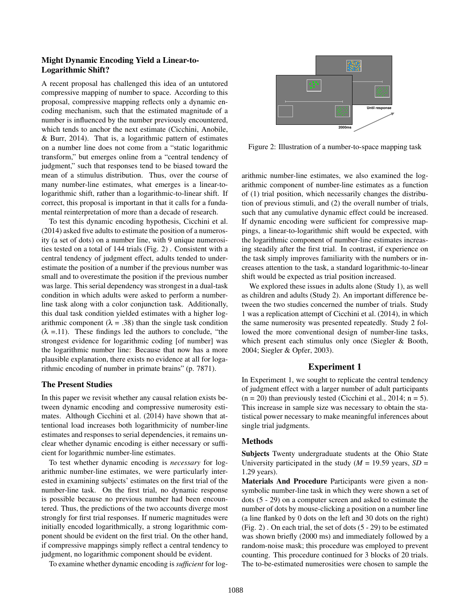# Might Dynamic Encoding Yield a Linear-to-Logarithmic Shift?

A recent proposal has challenged this idea of an untutored compressive mapping of number to space. According to this proposal, compressive mapping reflects only a dynamic encoding mechanism, such that the estimated magnitude of a number is influenced by the number previously encountered, which tends to anchor the next estimate (Cicchini, Anobile, & Burr, 2014). That is, a logarithmic pattern of estimates on a number line does not come from a "static logarithmic transform," but emerges online from a "central tendency of judgment," such that responses tend to be biased toward the mean of a stimulus distribution. Thus, over the course of many number-line estimates, what emerges is a linear-tologarithmic shift, rather than a logarithmic-to-linear shift. If correct, this proposal is important in that it calls for a fundamental reinterpretation of more than a decade of research.

To test this dynamic encoding hypothesis, Cicchini et al. (2014) asked five adults to estimate the position of a numerosity (a set of dots) on a number line, with 9 unique numerosities tested on a total of 144 trials (Fig. 2) . Consistent with a central tendency of judgment effect, adults tended to underestimate the position of a number if the previous number was small and to overestimate the position if the previous number was large. This serial dependency was strongest in a dual-task condition in which adults were asked to perform a numberline task along with a color conjunction task. Additionally, this dual task condition yielded estimates with a higher logarithmic component ( $\lambda = .38$ ) than the single task condition  $(\lambda = 11)$ . These findings led the authors to conclude, "the strongest evidence for logarithmic coding [of number] was the logarithmic number line: Because that now has a more plausible explanation, there exists no evidence at all for logarithmic encoding of number in primate brains" (p. 7871).

## The Present Studies

In this paper we revisit whether any causal relation exists between dynamic encoding and compressive numerosity estimates. Although Cicchini et al. (2014) have shown that attentional load increases both logarithmicity of number-line estimates and responses to serial dependencies, it remains unclear whether dynamic encoding is either necessary or sufficient for logarithmic number-line estimates.

To test whether dynamic encoding is *necessary* for logarithmic number-line estimates, we were particularly interested in examining subjects' estimates on the first trial of the number-line task. On the first trial, no dynamic response is possible because no previous number had been encountered. Thus, the predictions of the two accounts diverge most strongly for first trial responses. If numeric magnitudes were initially encoded logarithmically, a strong logarithmic component should be evident on the first trial. On the other hand, if compressive mappings simply reflect a central tendency to judgment, no logarithmic component should be evident.

To examine whether dynamic encoding is *sufficient* for log-



Figure 2: Illustration of a number-to-space mapping task

arithmic number-line estimates, we also examined the logarithmic component of number-line estimates as a function of (1) trial position, which necessarily changes the distribution of previous stimuli, and (2) the overall number of trials, such that any cumulative dynamic effect could be increased. If dynamic encoding were sufficient for compressive mappings, a linear-to-logarithmic shift would be expected, with the logarithmic component of number-line estimates increasing steadily after the first trial. In contrast, if experience on the task simply improves familiarity with the numbers or increases attention to the task, a standard logarithmic-to-linear shift would be expected as trial position increased.

We explored these issues in adults alone (Study 1), as well as children and adults (Study 2). An important difference between the two studies concerned the number of trials. Study 1 was a replication attempt of Cicchini et al. (2014), in which the same numerosity was presented repeatedly. Study 2 followed the more conventional design of number-line tasks, which present each stimulus only once (Siegler & Booth, 2004; Siegler & Opfer, 2003).

# Experiment 1

In Experiment 1, we sought to replicate the central tendency of judgment effect with a larger number of adult participants  $(n = 20)$  than previously tested (Cicchini et al., 2014;  $n = 5$ ). This increase in sample size was necessary to obtain the statistical power necessary to make meaningful inferences about single trial judgments.

## Methods

Subjects Twenty undergraduate students at the Ohio State University participated in the study ( $M = 19.59$  years,  $SD =$ 1.29 years).

Materials And Procedure Participants were given a nonsymbolic number-line task in which they were shown a set of dots (5 - 29) on a computer screen and asked to estimate the number of dots by mouse-clicking a position on a number line (a line flanked by 0 dots on the left and 30 dots on the right) (Fig. 2) . On each trial, the set of dots (5 - 29) to be estimated was shown briefly (2000 ms) and immediately followed by a random-noise mask; this procedure was employed to prevent counting. This procedure continued for 3 blocks of 20 trials. The to-be-estimated numerosities were chosen to sample the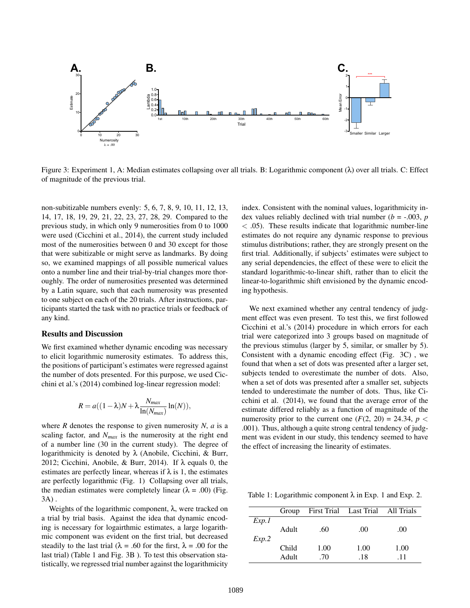

Figure 3: Experiment 1, A: Median estimates collapsing over all trials. B: Logarithmic component (λ) over all trials. C: Effect of magnitude of the previous trial.

non-subitizable numbers evenly: 5, 6, 7, 8, 9, 10, 11, 12, 13, 14, 17, 18, 19, 29, 21, 22, 23, 27, 28, 29. Compared to the previous study, in which only 9 numerosities from 0 to 1000 were used (Cicchini et al., 2014), the current study included most of the numerosities between 0 and 30 except for those that were subitizable or might serve as landmarks. By doing so, we examined mappings of all possible numerical values onto a number line and their trial-by-trial changes more thoroughly. The order of numerosities presented was determined by a Latin square, such that each numerosity was presented to one subject on each of the 20 trials. After instructions, participants started the task with no practice trials or feedback of any kind.

#### Results and Discussion

We first examined whether dynamic encoding was necessary to elicit logarithmic numerosity estimates. To address this, the positions of participant's estimates were regressed against the number of dots presented. For this purpose, we used Cicchini et al.'s (2014) combined log-linear regression model:

$$
R = a((1 - \lambda)N + \lambda \frac{N_{max}}{\ln(N_{max})} \ln(N)),
$$

where  $R$  denotes the response to given numerosity  $N$ ,  $a$  is a scaling factor, and *Nmax* is the numerosity at the right end of a number line (30 in the current study). The degree of logarithmicity is denoted by  $\lambda$  (Anobile, Cicchini, & Burr, 2012; Cicchini, Anobile, & Burr, 2014). If  $\lambda$  equals 0, the estimates are perfectly linear, whereas if  $\lambda$  is 1, the estimates are perfectly logarithmic (Fig. 1) Collapsing over all trials, the median estimates were completely linear  $(\lambda = .00)$  (Fig. 3A) .

Weights of the logarithmic component,  $\lambda$ , were tracked on a trial by trial basis. Against the idea that dynamic encoding is necessary for logairthmic estimates, a large logarithmic component was evident on the first trial, but decreased steadily to the last trial ( $\lambda = .60$  for the first,  $\lambda = .00$  for the last trial) (Table 1 and Fig. 3B ). To test this observation statistically, we regressed trial number against the logarithmicity index. Consistent with the nominal values, logarithmicity index values reliably declined with trial number ( $b = -0.003$ ,  $p = 0.003$  $<$  0.05). These results indicate that logarithmic number-line estimates do not require any dynamic response to previous stimulus distributions; rather, they are strongly present on the first trial. Additionally, if subjects' estimates were subject to any serial dependencies, the effect of these were to elicit the standard logarithmic-to-linear shift, rather than to elicit the linear-to-logarithmic shift envisioned by the dynamic encoding hypothesis.

We next examined whether any central tendency of judgment effect was even present. To test this, we first followed Cicchini et al.'s (2014) procedure in which errors for each trial were categorized into 3 groups based on magnitude of the previous stimulus (larger by 5, similar, or smaller by 5). Consistent with a dynamic encoding effect (Fig. 3C) , we found that when a set of dots was presented after a larger set, subjects tended to overestimate the number of dots. Also, when a set of dots was presented after a smaller set, subjects tended to underestimate the number of dots. Thus, like Cicchini et al. (2014), we found that the average error of the estimate differed reliably as a function of magnitude of the numerosity prior to the current one  $(F(2, 20) = 24.34, p <$ .001). Thus, although a quite strong central tendency of judgment was evident in our study, this tendency seemed to have the effect of increasing the linearity of estimates.

Table 1: Logarithmic component  $\lambda$  in Exp. 1 and Exp. 2.

|       | Group |      | First Trial Last Trial All Trials |      |
|-------|-------|------|-----------------------------------|------|
| Exp.1 |       |      |                                   |      |
|       | Adult | .60  | .00.                              | .00  |
| Exp.2 |       |      |                                   |      |
|       | Child | 1.00 | 1.00                              | 1.00 |
|       | Adult | .70  | .18                               | -11  |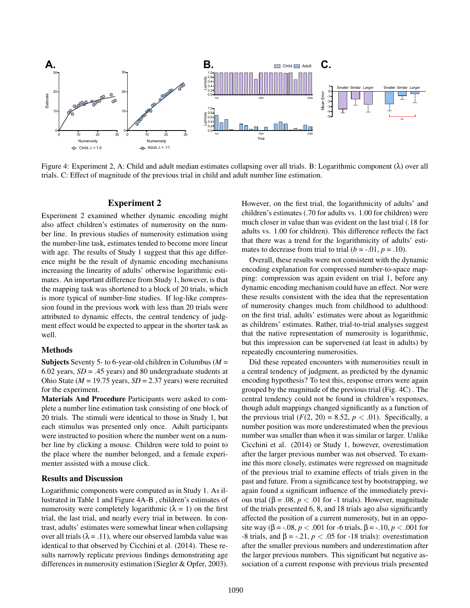

Figure 4: Experiment 2, A: Child and adult median estimates collapsing over all trials. B: Logarithmic component  $(\lambda)$  over all trials. C: Effect of magnitude of the previous trial in child and adult number line estimation.

## Experiment 2

Experiment 2 examined whether dynamic encoding might also affect children's estimates of numerosity on the number line. In previous studies of numerosity estimation using the number-line task, estimates tended to become more linear with age. The results of Study 1 suggest that this age difference might be the result of dynamic encoding mechanisms increasing the linearity of adults' otherwise logarithmic estimates. An important difference from Study 1, however, is that the mapping task was shortened to a block of 20 trials, which is more typical of number-line studies. If log-like compression found in the previous work with less than 20 trials were attributed to dynamic effects, the central tendency of judgment effect would be expected to appear in the shorter task as well.

#### Methods

Subjects Seventy 5- to 6-year-old children in Columbus (*M* = 6.02 years,  $SD = .45$  years) and 80 undergraduate students at Ohio State (*M* = 19.75 years, *SD* = 2.37 years) were recruited for the experiment.

Materials And Procedure Participants were asked to complete a number line estimation task consisting of one block of 20 trials. The stimuli were identical to those in Study 1, but each stimulus was presented only once. Adult participants were instructed to position where the number went on a number line by clicking a mouse. Children were told to point to the place where the number belonged, and a female experimenter assisted with a mouse click.

## Results and Discussion

Logarithmic components were computed as in Study 1. As illustrated in Table 1 and Figure 4A-B , children's estimates of numerosity were completely logarithmic  $(\lambda = 1)$  on the first trial, the last trial, and nearly every trial in between. In contrast, adults' estimates were somewhat linear when collapsing over all trials ( $\lambda = .11$ ), where our observed lambda value was identical to that observed by Cicchini et al. (2014). These results narrowly replicate previous findings demonstrating age differences in numerosity estimation (Siegler & Opfer, 2003). However, on the first trial, the logarithmicity of adults' and children's estimates (.70 for adults vs. 1.00 for children) were much closer in value than was evident on the last trial (.18 for adults vs. 1.00 for children). This difference reflects the fact that there was a trend for the logarithmicity of adults' estimates to decrease from trial to trial  $(b = -0.01, p = 0.10)$ .

Overall, these results were not consistent with the dynamic encoding explanation for compressed number-to-space mapping: compression was again evident on trial 1, before any dynamic encoding mechanism could have an effect. Nor were these results consistent with the idea that the representation of numerosity changes much from childhood to adulthood: on the first trial, adults' estimates were about as logarithmic as childrens' estimates. Rather, trial-to-trial analyses suggest that the native representation of numerosity is logarithmic, but this impression can be supervened (at least in adults) by repeatedly encountering numerosities.

Did these repeated encounters with numerosities result in a central tendency of judgment, as predicted by the dynamic encoding hypothesis? To test this, response errors were again grouped by the magnitude of the previous trial (Fig. 4C) . The central tendency could not be found in children's responses, though adult mappings changed significantly as a function of the previous trial  $(F(2, 20) = 8.52, p < .01)$ . Specifically, a number position was more underestimated when the previous number was smaller than when it was similar or larger. Unlike Cicchini et al. (2014) or Study 1, however, overestimation after the larger previous number was not observed. To examine this more closely, estimates were regressed on magnitude of the previous trial to examine effects of trials given in the past and future. From a significance test by bootstrapping, we again found a significant influence of the immediately previous trial (β = .08, *p* < .01 for -1 trials). However, magnitude of the trials presented 6, 8, and 18 trials ago also significantly affected the position of a current numerosity, but in an opposite way (β = -.08, *p* < .001 for -6 trials, β = -.10, *p* < .001 for -8 trials, and β = -.21,  $p < .05$  for -18 trials): overestimation after the smaller previous numbers and underestimation after the larger previous numbers. This significant but negative association of a current response with previous trials presented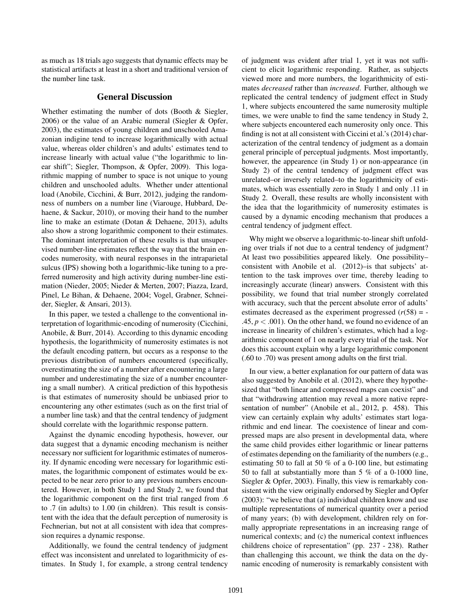as much as 18 trials ago suggests that dynamic effects may be statistical artifacts at least in a short and traditional version of the number line task.

## General Discussion

Whether estimating the number of dots (Booth & Siegler, 2006) or the value of an Arabic numeral (Siegler & Opfer, 2003), the estimates of young children and unschooled Amazonian indigine tend to increase logarithmically with actual value, whereas older children's and adults' estimates tend to increase linearly with actual value ("the logarithmic to linear shift"; Siegler, Thompson, & Opfer, 2009). This logarithmic mapping of number to space is not unique to young children and unschooled adults. Whether under attentional load (Anobile, Cicchini, & Burr, 2012), judging the randomness of numbers on a number line (Viarouge, Hubbard, Dehaene, & Sackur, 2010), or moving their hand to the number line to make an estimate (Dotan & Dehaene, 2013), adults also show a strong logarithmic component to their estimates. The dominant interpretation of these results is that unsupervised number-line estimates reflect the way that the brain encodes numerosity, with neural responses in the intraparietal sulcus (IPS) showing both a logarithmic-like tuning to a preferred numerosity and high activity during number-line estimation (Nieder, 2005; Nieder & Merten, 2007; Piazza, Izard, Pinel, Le Bihan, & Dehaene, 2004; Vogel, Grabner, Schneider, Siegler, & Ansari, 2013).

In this paper, we tested a challenge to the conventional interpretation of logarithmic-encoding of numerosity (Cicchini, Anobile, & Burr, 2014). According to this dynamic encoding hypothesis, the logarithmicity of numerosity estimates is not the default encoding pattern, but occurs as a response to the previous distribution of numbers encountered (specifically, overestimating the size of a number after encountering a large number and underestimating the size of a number encountering a small number). A critical prediction of this hypothesis is that estimates of numerosity should be unbiased prior to encountering any other estimates (such as on the first trial of a number line task) and that the central tendency of judgment should correlate with the logarithmic response pattern.

Against the dynamic encoding hypothesis, however, our data suggest that a dynamic encoding mechanism is neither necessary nor sufficient for logarithmic estimates of numerosity. If dynamic encoding were necessary for logarithmic estimates, the logarithmic component of estimates would be expected to be near zero prior to any previous numbers encountered. However, in both Study 1 and Study 2, we found that the logarithmic component on the first trial ranged from .6 to .7 (in adults) to 1.00 (in children). This result is consistent with the idea that the default perception of numerosity is Fechnerian, but not at all consistent with idea that compression requires a dynamic response.

Additionally, we found the central tendency of judgment effect was inconsistent and unrelated to logarithmicity of estimates. In Study 1, for example, a strong central tendency of judgment was evident after trial 1, yet it was not sufficient to elicit logarithmic responding. Rather, as subjects viewed more and more numbers, the logarithmicity of estimates *decreased* rather than *increased*. Further, although we replicated the central tendency of judgment effect in Study 1, where subjects encountered the same numerosity multiple times, we were unable to find the same tendency in Study 2, where subjects encountered each numerosity only once. This finding is not at all consistent with Ciccini et al.'s (2014) characterization of the central tendency of judgment as a domain general principle of perceptual judgments. Most importantly, however, the appearence (in Study 1) or non-appearance (in Study 2) of the central tendency of judgment effect was unrelated–or inversely related–to the logarithmicity of estimates, which was essentially zero in Study 1 and only .11 in Study 2. Overall, these results are wholly inconsistent with the idea that the logarithmicity of numerosity estimates is caused by a dynamic encoding mechanism that produces a central tendency of judgment effect.

Why might we observe a logarithmic-to-linear shift unfolding over trials if not due to a central tendency of judgment? At least two possibilities appeared likely. One possibility– consistent with Anobile et al. (2012)–is that subjects' attention to the task improves over time, thereby leading to increasingly accurate (linear) answers. Consistent with this possibility, we found that trial number strongly correlated with accuracy, such that the percent absolute error of adults' estimates decreased as the experiment progressed  $(r(58) = -$ .45,  $p < .001$ ). On the other hand, we found no evidence of an increase in linearity of children's estimates, which had a logarithmic component of 1 on nearly every trial of the task. Nor does this account explain why a large logarithmic component (.60 to .70) was present among adults on the first trial.

In our view, a better explanation for our pattern of data was also suggested by Anobile et al. (2012), where they hypothesized that "both linear and compressed maps can coexist" and that "withdrawing attention may reveal a more native representation of number" (Anobile et al., 2012, p. 458). This view can certainly explain why adults' estimates start logarithmic and end linear. The coexistence of linear and compressed maps are also present in developmental data, where the same child provides either logarithmic or linear patterns of estimates depending on the familiarity of the numbers (e.g., estimating 50 to fall at 50 % of a 0-100 line, but estimating 50 to fall at substantially more than 5 % of a 0-1000 line, Siegler & Opfer, 2003). Finally, this view is remarkably consistent with the view originally endorsed by Siegler and Opfer (2003): "we believe that (a) individual children know and use multiple representations of numerical quantity over a period of many years; (b) with development, children rely on formally appropriate representations in an increasing range of numerical contexts; and (c) the numerical context influences childrens choice of representation" (pp. 237 - 238). Rather than challenging this account, we think the data on the dynamic encoding of numerosity is remarkably consistent with